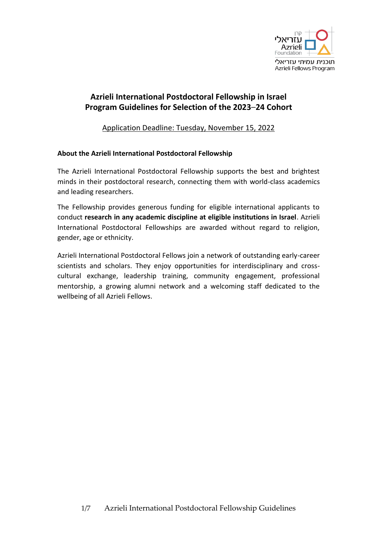

# **Azrieli International Postdoctoral Fellowship in Israel Program Guidelines for Selection of the 2023**–**24 Cohort**

Application Deadline: Tuesday, November 15, 2022

## **About the Azrieli International Postdoctoral Fellowship**

The Azrieli International Postdoctoral Fellowship supports the best and brightest minds in their postdoctoral research, connecting them with world-class academics and leading researchers.

The Fellowship provides generous funding for eligible international applicants to conduct **research in any academic discipline at eligible institutions in Israel**. Azrieli International Postdoctoral Fellowships are awarded without regard to religion, gender, age or ethnicity.

Azrieli International Postdoctoral Fellows join a network of outstanding early-career scientists and scholars. They enjoy opportunities for interdisciplinary and crosscultural exchange, leadership training, community engagement, professional mentorship, a growing alumni network and a welcoming staff dedicated to the wellbeing of all Azrieli Fellows.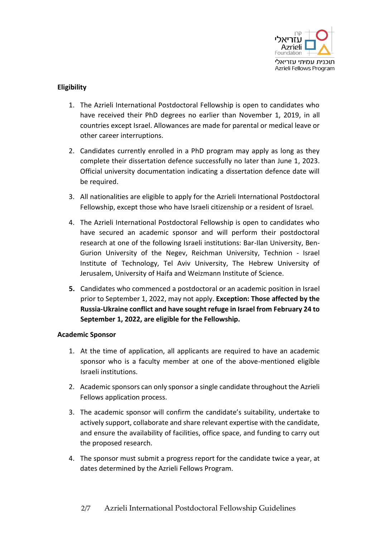

## **Eligibility**

- 1. The Azrieli International Postdoctoral Fellowship is open to candidates who have received their PhD degrees no earlier than November 1, 2019, in all countries except Israel. Allowances are made for parental or medical leave or other career interruptions.
- 2. Candidates currently enrolled in a PhD program may apply as long as they complete their dissertation defence successfully no later than June 1, 2023. Official university documentation indicating a dissertation defence date will be required.
- 3. All nationalities are eligible to apply for the Azrieli International Postdoctoral Fellowship, except those who have Israeli citizenship or a resident of Israel.
- 4. The Azrieli International Postdoctoral Fellowship is open to candidates who have secured an academic sponsor and will perform their postdoctoral research at one of the following Israeli institutions: Bar-Ilan University, Ben-Gurion University of the Negev, Reichman University, Technion - Israel Institute of Technology, Tel Aviv University, The Hebrew University of Jerusalem, University of Haifa and Weizmann Institute of Science.
- **5.** Candidates who commenced a postdoctoral or an academic position in Israel prior to September 1, 2022, may not apply. **Exception: Those affected by the Russia-Ukraine conflict and have sought refuge in Israel from February 24 to September 1, 2022, are eligible for the Fellowship.**

#### **Academic Sponsor**

- 1. At the time of application, all applicants are required to have an academic sponsor who is a faculty member at one of the above-mentioned eligible Israeli institutions.
- 2. Academic sponsors can only sponsor a single candidate throughout the Azrieli Fellows application process.
- 3. The academic sponsor will confirm the candidate's suitability, undertake to actively support, collaborate and share relevant expertise with the candidate, and ensure the availability of facilities, office space, and funding to carry out the proposed research.
- 4. The sponsor must submit a progress report for the candidate twice a year, at dates determined by the Azrieli Fellows Program.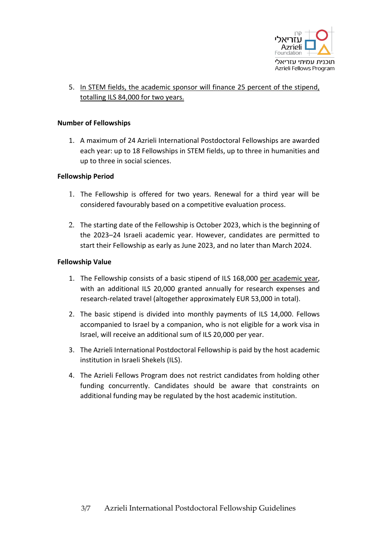

## 5. In STEM fields, the academic sponsor will finance 25 percent of the stipend, totalling ILS 84,000 for two years.

### **Number of Fellowships**

1. A maximum of 24 Azrieli International Postdoctoral Fellowships are awarded each year: up to 18 Fellowships in STEM fields, up to three in humanities and up to three in social sciences.

## **Fellowship Period**

- 1. The Fellowship is offered for two years. Renewal for a third year will be considered favourably based on a competitive evaluation process.
- 2. The starting date of the Fellowship is October 2023, which is the beginning of the 2023–24 Israeli academic year. However, candidates are permitted to start their Fellowship as early as June 2023, and no later than March 2024.

## **Fellowship Value**

- 1. The Fellowship consists of a basic stipend of ILS 168,000 per academic year, with an additional ILS 20,000 granted annually for research expenses and research-related travel (altogether approximately EUR 53,000 in total).
- 2. The basic stipend is divided into monthly payments of ILS 14,000. Fellows accompanied to Israel by a companion, who is not eligible for a work visa in Israel, will receive an additional sum of ILS 20,000 per year.
- 3. The Azrieli International Postdoctoral Fellowship is paid by the host academic institution in Israeli Shekels (ILS).
- 4. The Azrieli Fellows Program does not restrict candidates from holding other funding concurrently. Candidates should be aware that constraints on additional funding may be regulated by the host academic institution.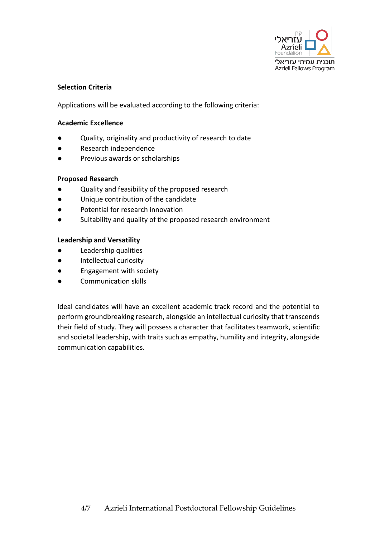

## **Selection Criteria**

Applications will be evaluated according to the following criteria:

### **Academic Excellence**

- Quality, originality and productivity of research to date
- Research independence
- Previous awards or scholarships

#### **Proposed Research**

- Quality and feasibility of the proposed research
- Unique contribution of the candidate
- Potential for research innovation
- Suitability and quality of the proposed research environment

## **Leadership and Versatility**

- Leadership qualities
- Intellectual curiosity
- Engagement with society
- Communication skills

Ideal candidates will have an excellent academic track record and the potential to perform groundbreaking research, alongside an intellectual curiosity that transcends their field of study. They will possess a character that facilitates teamwork, scientific and societal leadership, with traits such as empathy, humility and integrity, alongside communication capabilities.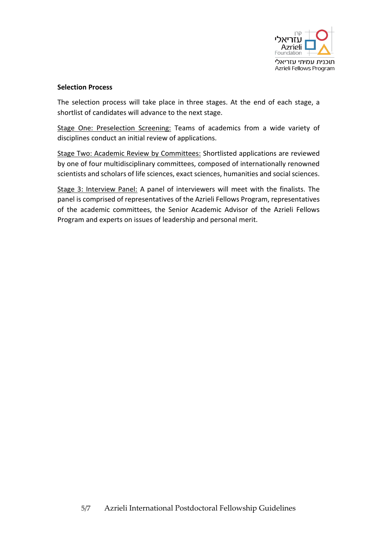

### **Selection Process**

The selection process will take place in three stages. At the end of each stage, a shortlist of candidates will advance to the next stage.

Stage One: Preselection Screening: Teams of academics from a wide variety of disciplines conduct an initial review of applications.

Stage Two: Academic Review by Committees: Shortlisted applications are reviewed by one of four multidisciplinary committees, composed of internationally renowned scientists and scholars of life sciences, exact sciences, humanities and social sciences.

Stage 3: Interview Panel: A panel of interviewers will meet with the finalists. The panel is comprised of representatives of the Azrieli Fellows Program, representatives of the academic committees, the Senior Academic Advisor of the Azrieli Fellows Program and experts on issues of leadership and personal merit.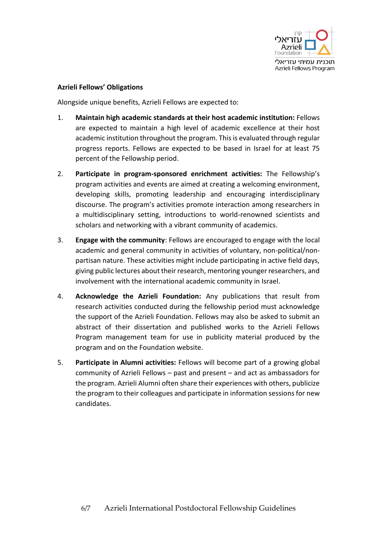

## **Azrieli Fellows' Obligations**

Alongside unique benefits, Azrieli Fellows are expected to:

- 1. **Maintain high academic standards at their host academic institution:** Fellows are expected to maintain a high level of academic excellence at their host academic institution throughout the program. This is evaluated through regular progress reports. Fellows are expected to be based in Israel for at least 75 percent of the Fellowship period.
- 2. **Participate in program-sponsored enrichment activities:** The Fellowship's program activities and events are aimed at creating a welcoming environment, developing skills, promoting leadership and encouraging interdisciplinary discourse. The program's activities promote interaction among researchers in a multidisciplinary setting, introductions to world-renowned scientists and scholars and networking with a vibrant community of academics.
- 3. **Engage with the community**: Fellows are encouraged to engage with the local academic and general community in activities of voluntary, non-political/nonpartisan nature. These activities might include participating in active field days, giving public lectures about their research, mentoring younger researchers, and involvement with the international academic community in Israel.
- 4. **Acknowledge the Azrieli Foundation:** Any publications that result from research activities conducted during the fellowship period must acknowledge the support of the Azrieli Foundation. Fellows may also be asked to submit an abstract of their dissertation and published works to the Azrieli Fellows Program management team for use in publicity material produced by the program and on the Foundation website.
- 5. **Participate in Alumni activities:** Fellows will become part of a growing global community of Azrieli Fellows – past and present – and act as ambassadors for the program. Azrieli Alumni often share their experiences with others, publicize the program to their colleagues and participate in information sessions for new candidates.